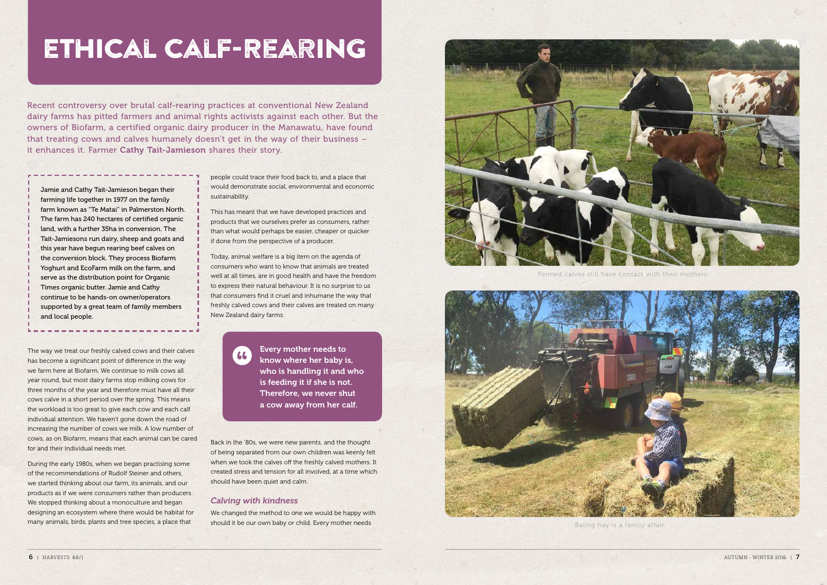## ETHICAL CALF-REARING

Recent controversy over brutal calf-rearing practices at conventional New Zealand dairy farms has pitted farmers and animal rights activists against each other. But the owners of Biofarm, a certified organic dairy producer in the Manawatu, have found that treating cows and calves humanely doesn't get in the way of their business it enhances it. Farmer Cathy Tait-Jamieson shares their story.

Jamie and Cathy Tait-Jamieson began their farming life together in 1977 on the family farm known as "Te Matai" in Palmerston North. The farm has 240 hectares of certified organic land, with a further 35ha in conversion. The Tait-Jamiesons run dairy, sheep and goats and this year have begun rearing beef calves on the conversion block. They process Biofarm Yoghurt and EcoFarm milk on the farm, and serve as the distribution point for Organic Times organic butter. Jamie and Cathy continue to be hands-on owner/operators supported by a great team of family members and local people.

The way we treat our freshly calved cows and their calves has become a significant point of difference in the way we farm here at Biofarm. We continue to milk cows all vear round, but most dairy farms stop milking cows for three months of the year and therefore must have all their cows calve in a short period over the spring. This means the workload is too great to give each cow and each calf individual attention. We haven't gone down the road of increasing the number of cows we milk. A low number of cows, as on Biofarm, means that each animal can be cared for and their individual needs met.

During the early 1980s, when we began practising some of the recommendations of Rudolf Steiner and others, we started thinking about our farm, its animals, and our products as if we were consumers rather than producers. We stopped thinking about a monoculture and began designing an ecosystem where there would be habitat for many animals, birds, plants and tree species, a place that

people could trace their food back to, and a place that would demonstrate social, environmental and economic sustainability.

This has meant that we have developed practices and products that we ourselves prefer as consumers, rather than what would perhaps be easier, cheaper or quicker if done from the perspective of a producer.

Today, animal welfare is a big item on the agenda of consumers who want to know that animals are treated well at all times, are in good health and have the freedom to express their natural behaviour. It is no surprise to us that consumers find it cruel and inhumane the way that freshly calved cows and their calves are treated on many New Zealand dairy farms.

> Every mother needs to know where her baby is, who is handling it and who is feeding it if she is not. Therefore, we never shut a cow away from her calf.

Back in the '80s, we were new parents, and the thought of being separated from our own children was keenly felt when we took the calves off the freshly calved mothers. It created stress and tension for all involved, at a time which should have been quiet and calm.

## **Calving with kindness**

 $66$ 

We changed the method to one we would be happy with should it be our own baby or child. Every mother needs



Penned calves still have contact with their mother.



Baling hay is a family affair.